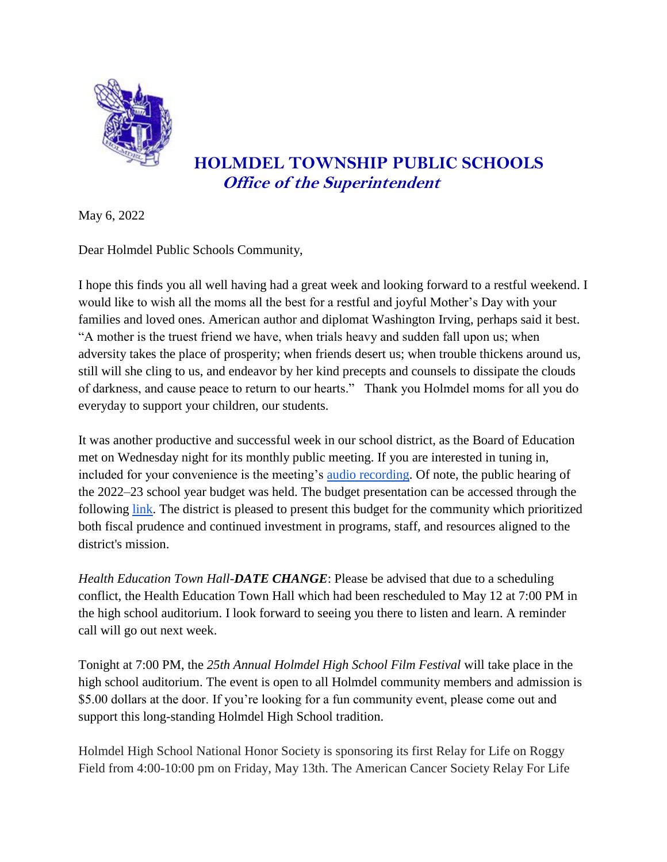

## **HOLMDEL TOWNSHIP PUBLIC SCHOOLS Office of the Superintendent**

May 6, 2022

Dear Holmdel Public Schools Community,

I hope this finds you all well having had a great week and looking forward to a restful weekend. I would like to wish all the moms all the best for a restful and joyful Mother's Day with your families and loved ones. American author and diplomat Washington Irving, perhaps said it best. "A mother is the truest friend we have, when trials heavy and sudden fall upon us; when adversity takes the place of prosperity; when friends desert us; when trouble thickens around us, still will she cling to us, and endeavor by her kind precepts and counsels to dissipate the clouds of darkness, and cause peace to return to our hearts." Thank you Holmdel moms for all you do everyday to support your children, our students.

It was another productive and successful week in our school district, as the Board of Education met on Wednesday night for its monthly public meeting. If you are interested in tuning in, included for your convenience is the meeting's [audio recording.](https://www.holmdelschools.org/board-of-education/meeting-audio) Of note, the public hearing of the 2022–23 school year budget was held. The budget presentation can be accessed through the following [link.](https://www.holmdelschools.org/fs/resource-manager/view/8a6dc85f-ae50-4b8e-a0d5-ea00585e8a4f) The district is pleased to present this budget for the community which prioritized both fiscal prudence and continued investment in programs, staff, and resources aligned to the district's mission.

*Health Education Town Hall-DATE CHANGE*: Please be advised that due to a scheduling conflict, the Health Education Town Hall which had been rescheduled to May 12 at 7:00 PM in the high school auditorium. I look forward to seeing you there to listen and learn. A reminder call will go out next week.

Tonight at 7:00 PM, the *25th Annual Holmdel High School Film Festival* will take place in the high school auditorium. The event is open to all Holmdel community members and admission is \$5.00 dollars at the door. If you're looking for a fun community event, please come out and support this long-standing Holmdel High School tradition.

Holmdel High School National Honor Society is sponsoring its first Relay for Life on Roggy Field from 4:00-10:00 pm on Friday, May 13th. The American Cancer Society Relay For Life